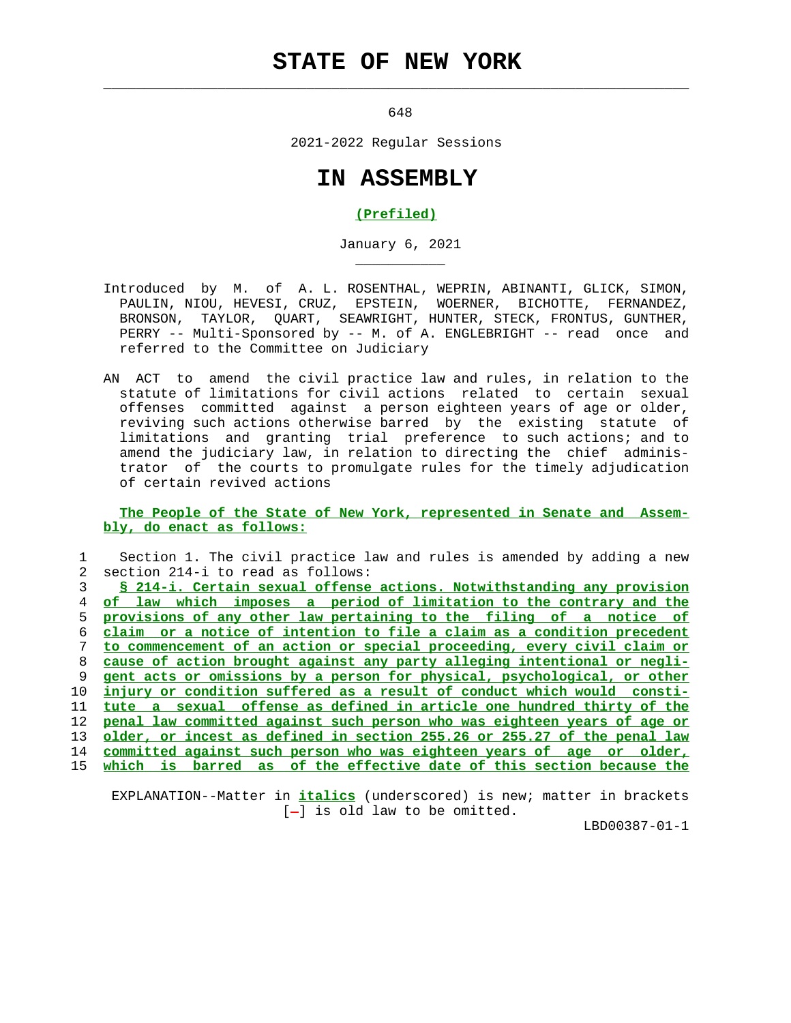## **STATE OF NEW YORK**

 $\mathcal{L}_\text{max} = \frac{1}{2} \sum_{i=1}^{n} \frac{1}{2} \sum_{i=1}^{n} \frac{1}{2} \sum_{i=1}^{n} \frac{1}{2} \sum_{i=1}^{n} \frac{1}{2} \sum_{i=1}^{n} \frac{1}{2} \sum_{i=1}^{n} \frac{1}{2} \sum_{i=1}^{n} \frac{1}{2} \sum_{i=1}^{n} \frac{1}{2} \sum_{i=1}^{n} \frac{1}{2} \sum_{i=1}^{n} \frac{1}{2} \sum_{i=1}^{n} \frac{1}{2} \sum_{i=1}^{n} \frac{1$ 

\_\_\_\_\_\_\_\_\_\_\_

648

2021-2022 Regular Sessions

## **IN ASSEMBLY**

## **(Prefiled)**

January 6, 2021

- Introduced by M. of A. L. ROSENTHAL, WEPRIN, ABINANTI, GLICK, SIMON, PAULIN, NIOU, HEVESI, CRUZ, EPSTEIN, WOERNER, BICHOTTE, FERNANDEZ, BRONSON, TAYLOR, QUART, SEAWRIGHT, HUNTER, STECK, FRONTUS, GUNTHER, PERRY -- Multi-Sponsored by -- M. of A. ENGLEBRIGHT -- read once and referred to the Committee on Judiciary
- AN ACT to amend the civil practice law and rules, in relation to the statute of limitations for civil actions related to certain sexual offenses committed against a person eighteen years of age or older, reviving such actions otherwise barred by the existing statute of limitations and granting trial preference to such actions; and to amend the judiciary law, in relation to directing the chief adminis trator of the courts to promulgate rules for the timely adjudication of certain revived actions

 **The People of the State of New York, represented in Senate and Assem bly, do enact as follows:**

|             | Section 1. The civil practice law and rules is amended by adding a new   |
|-------------|--------------------------------------------------------------------------|
| $2^{\circ}$ | section 214-i to read as follows:                                        |
|             | § 214-i. Certain sexual offense actions. Notwithstanding any provision   |
| 4           | of law which imposes a period of limitation to the contrary and the      |
| 5.          | provisions of any other law pertaining to the filing of a notice of      |
| 6           | claim or a notice of intention to file a claim as a condition precedent  |
|             | to commencement of an action or special proceeding, every civil claim or |
| 8           | cause of action brought against any party alleging intentional or negli- |
| 9           | gent acts or omissions by a person for physical, psychological, or other |
| 1 O         | injury or condition suffered as a result of conduct which would consti-  |
| 11          | tute a sexual offense as defined in article one hundred thirty of the    |
| 12.         | penal law committed against such person who was eighteen years of age or |
| 13          | older, or incest as defined in section 255.26 or 255.27 of the penal law |
| 14          | committed against such person who was eighteen years of age or older,    |
| 15          | is barred as of the effective date of this section because the<br>which  |
|             |                                                                          |

 EXPLANATION--Matter in **italics** (underscored) is new; matter in brackets  $[-]$  is old law to be omitted.

LBD00387-01-1